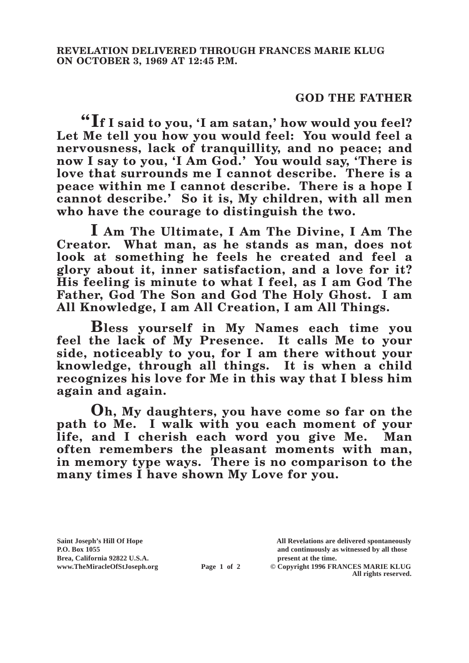## **GOD THE FATHER**

**"If I said to you, 'I am satan,' how would you feel? Let Me tell you how you would feel: You would feel a nervousness, lack of tranquillity, and no peace; and now I say to you, 'I Am God.' You would say, 'There is love that surrounds me I cannot describe. There is a peace within me I cannot describe. There is a hope I cannot describe.' So it is, My children, with all men who have the courage to distinguish the two.**

**I Am The Ultimate, I Am The Divine, I Am The Creator. What man, as he stands as man, does not look at something he feels he created and feel a glory about it, inner satisfaction, and a love for it? His feeling is minute to what I feel, as I am God The Father, God The Son and God The Holy Ghost. I am All Knowledge, I am All Creation, I am All Things.**

**Bless yourself in My Names each time you feel the lack of My Presence. It calls Me to your side, noticeably to you, for I am there without your knowledge, through all things. It is when a child recognizes his love for Me in this way that I bless him again and again.**

**Oh, My daughters, you have come so far on the path to Me. I walk with you each moment of your life, and I cherish each word you give Me. Man often remembers the pleasant moments with man, in memory type ways. There is no comparison to the many times I have shown My Love for you.**

**Brea, California 92822 U.S.A. present at the time.**<br> **Page 1 of 2** © Copyright 1996 FR.

**Saint Joseph's Hill Of Hope All Revelations are delivered spontaneously P.O. Box 1055 and continuously as witnessed by all those** 

**Page 1 of 2** © Copyright 1996 FRANCES MARIE KLUG **All rights reserved.**